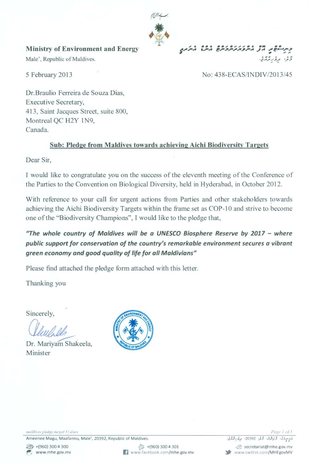

## Ministry of Environment and Energy

Male', Republic of Maldives.

5 February 2013

# ~.f#> C. c # t!.AJI J'-: *'/.t'*

## No: 438-ECAS/INDIVI2013/45

Dr.Braulio Ferreira de Souza Dias, Executive Secretary, 413, Saint Jacques Street, suite 800, Montreal QC H2Y IN9, Canada.

## Sub: Pledge from Maldives towards achieving Aichi Biodiversitv Targets

Dear Sir,

1 would Iike to congratulate you on the success of the eleventh meeting of the Conference of the Parties to the Convention on Biological Diversity, held in Hyderabad, in October 2012.

With reference to your call for urgent actions from Parties and other stakeholders towards achieving the Aichi Biodiversity Targets within the frame set as COP-10 and strive to become one of the "Biodiversity Champions", 1 would like to the pledge that,

*"The whole country of Maldives will be a UNESCO Biosphere Reserve by 2017* - *where public support for conservation of the country's remarkable environment secures a vibrant green economy and good quality of life for ail Maldivians"* 

Please find attached the pledge form attached with this letter.

Thanking you

Sincerely,

Sincerely,<br>*Clevelandh*<br>Dr. Mariyam Shakeela,

Minister



maldives pledge target 11.docx

Ameenee Magu, Maafannu, Male', 20392, Republic of Maldives.



مُدِسِرْوَيْ، وَيُرْشُ، وَيْ 20392، مِرَّ مُرْتَمَّةٌ. Secretariat@mhe.gov.mv www.twitter.com/MHEgovMV

Page 1 of 1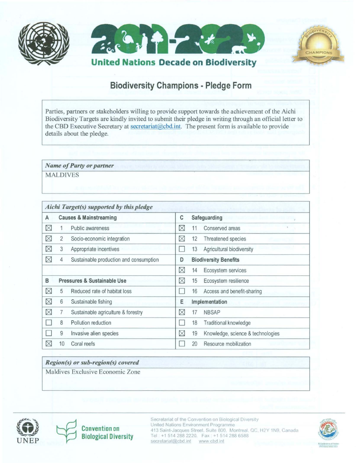





## **Biodiversity Champions· Pledge Form**

Parties, partners or stakeholders willing to provide support towards the achievement of the Aichi Biodiversity Targets are kindly invited to submit their pledge in writing through an official letter to the CBD Executive Secretary at secretariat@cbd.int. The present form is available to provide details about the pledge.

Name of Party or partner

MALDIVES

| Aichi Target(s) supported by this pledge |                                   |                                        |             |                              |                                   |  |  |  |
|------------------------------------------|-----------------------------------|----------------------------------------|-------------|------------------------------|-----------------------------------|--|--|--|
| A                                        | <b>Causes &amp; Mainstreaming</b> |                                        |             |                              | Safeguarding<br>÷.                |  |  |  |
| ⊠                                        |                                   | Public awareness                       | ⊠           | 11                           | Conserved areas                   |  |  |  |
| ⊠                                        | $\overline{2}$                    | Socio-economic integration             | ⊠           | 12                           | Threatened species                |  |  |  |
| ⊠                                        | 3                                 | Appropriate incentives                 |             | 13                           | Agricultural biodiversity         |  |  |  |
| ⊠                                        | 4                                 | Sustainable production and consumption | D           | <b>Biodiversity Benefits</b> |                                   |  |  |  |
|                                          |                                   |                                        | ⊠           | 14                           | Ecosystem services                |  |  |  |
| B                                        | Pressures & Sustainable Use       |                                        | ⊠           | 15                           | Ecosystem resilience              |  |  |  |
| ⊠                                        | 5                                 | Reduced rate of habitat loss           |             | 16                           | Access and benefit-sharing        |  |  |  |
| ⊠                                        | 6                                 | Sustainable fishing                    | Ε           |                              | Implementation                    |  |  |  |
| ⊠                                        | 7                                 | Sustainable agriculture & forestry     | ⊠           | 17                           | <b>NBSAP</b>                      |  |  |  |
|                                          | 8                                 | Pollution reduction                    |             | 18                           | Traditional knowledge             |  |  |  |
|                                          | 9                                 | Invasive alien species                 | $\boxtimes$ | 19                           | Knowledge, science & technologies |  |  |  |
| ⊠                                        | 10                                | Coral reefs                            |             | 20                           | Resource mobilization             |  |  |  |

## *Region(s) or sub-region(s) covered*

Maldives Exclusive Economic Zone



**Convention on Biological Diversity** 

Secretariat of the Convention on Biological Diversity **United Nations Environment Programme**  413 Saint-Jacques Street. Suite 800. Montreal. QC. H2Y 1N9. Canada **Tel +15142882220. Fax +15142886588**   $\frac{secretariat@cbd.int}{www.cbd.int}$ 

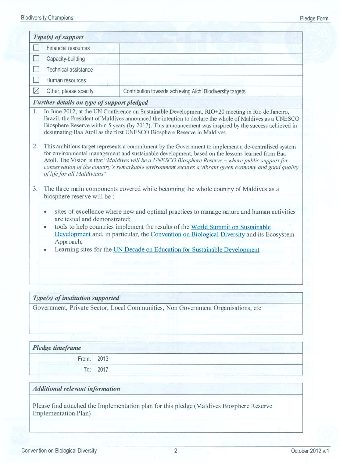|             | Type(s) of support                                                                                                                                                                                                                                                                                                                                                                                                                                   |                                                                                     |  |  |  |  |  |
|-------------|------------------------------------------------------------------------------------------------------------------------------------------------------------------------------------------------------------------------------------------------------------------------------------------------------------------------------------------------------------------------------------------------------------------------------------------------------|-------------------------------------------------------------------------------------|--|--|--|--|--|
|             | Financial resources                                                                                                                                                                                                                                                                                                                                                                                                                                  |                                                                                     |  |  |  |  |  |
|             | Capacity-building                                                                                                                                                                                                                                                                                                                                                                                                                                    |                                                                                     |  |  |  |  |  |
|             | Technical assistance                                                                                                                                                                                                                                                                                                                                                                                                                                 |                                                                                     |  |  |  |  |  |
|             | Human resources                                                                                                                                                                                                                                                                                                                                                                                                                                      |                                                                                     |  |  |  |  |  |
| $\boxtimes$ | Other, please specify                                                                                                                                                                                                                                                                                                                                                                                                                                | Contribution towards achieving Aichi Biodiversity targets                           |  |  |  |  |  |
|             | Further details on type of support pledged                                                                                                                                                                                                                                                                                                                                                                                                           |                                                                                     |  |  |  |  |  |
| 1.          | In June 2012, at the UN Conference on Sustainable Development, RIO+20 meeting in Rio de Janeiro,<br>Brazil, the President of Maldives announced the intention to declare the whole of Maldives as a UNESCO<br>Biosphere Reserve within 5 years (by 2017). This announcement was inspired by the success achieved in<br>designating Baa Atoll as the first UNESCO Biosphere Reserve in Maldives.                                                      |                                                                                     |  |  |  |  |  |
| 2.          | This ambitious target represents a commitment by the Government to implement a de-centralised system<br>for environmental management and sustainable development, based on the lessons learned from Baa<br>Atoll. The Vision is that "Maldives will be a UNESCO Biosphere Reserve – where public support for<br>conservation of the country's remarkable environment secures a vibrant green economy and good quality<br>of life for all Maldivians" |                                                                                     |  |  |  |  |  |
| 3.          | biosphere reserve will be :                                                                                                                                                                                                                                                                                                                                                                                                                          | The three main components covered while becoming the whole country of Maldives as a |  |  |  |  |  |
|             | sites of excellence where new and optimal practices to manage nature and human activities<br>$\bullet$<br>are tested and demonstrated;<br>tools to help countries implement the results of the World Summit on Sustainable<br>۰<br>Development and, in particular, the Convention on Biological Diversity and its Ecosystem<br>Approach;                                                                                                             |                                                                                     |  |  |  |  |  |
|             | Learning sites for the UN Decade on Education for Sustainable Development                                                                                                                                                                                                                                                                                                                                                                            |                                                                                     |  |  |  |  |  |
|             |                                                                                                                                                                                                                                                                                                                                                                                                                                                      |                                                                                     |  |  |  |  |  |
|             |                                                                                                                                                                                                                                                                                                                                                                                                                                                      |                                                                                     |  |  |  |  |  |

## *Type(» of institution supported*

Government, Private Sector, Local Communities, Non Government Organisations, etc

## Pledge timeframe

| .     |      |
|-------|------|
| From: | 2013 |
| To:   | 2017 |

#### *Additional relevant information*

Please fmd attached the Implementation plan for this pledge (Maldives Biosphere Reserve Implementation Plan)